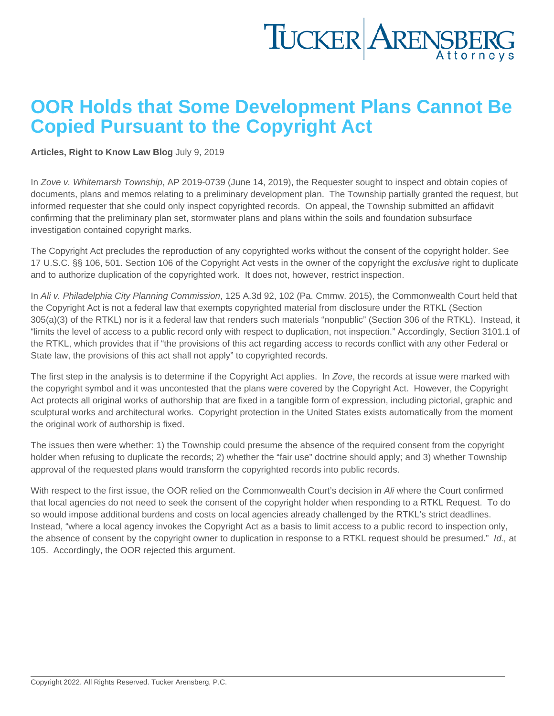## OOR Holds that Some Development Plans Cannot Be Copied Pursuant to the Copyright Act

[Articles](https://www.tuckerlaw.com/category/articles/), [Right to Know Law Blog](https://www.tuckerlaw.com/category/right-to-know-law-blog/) July 9, 2019

In [Zove v. Whitemarsh Township,](https://www.openrecords.pa.gov/Documents/FinalDet/41180.pdf) AP 2019-0739 (June 14, 2019), the Requester sought to inspect and obtain copies of documents, plans and memos relating to a preliminary development plan. The Township partially granted the request, but informed requester that she could only inspect copyrighted records. On appeal, the Township submitted an affidavit confirming that the preliminary plan set, stormwater plans and plans within the soils and foundation subsurface investigation contained copyright marks.

The Copyright Act precludes the reproduction of any copyrighted works without the consent of the copyright holder. See 17 U.S.C. §§ 106, 501. Section 106 of the Copyright Act vests in the owner of the copyright the exclusive right to duplicate and to authorize duplication of the copyrighted work. It does not, however, restrict inspection.

In Ali v. Philadelphia City Planning Commission, 125 A.3d 92, 102 (Pa. Cmmw. 2015), the Commonwealth Court held that the Copyright Act is not a federal law that exempts copyrighted material from disclosure under the RTKL (Section 305(a)(3) of the RTKL) nor is it a federal law that renders such materials "nonpublic" (Section 306 of the RTKL). Instead, it "limits the level of access to a public record only with respect to duplication, not inspection." Accordingly, Section 3101.1 of the RTKL, which provides that if "the provisions of this act regarding access to records conflict with any other Federal or State law, the provisions of this act shall not apply" to copyrighted records.

The first step in the analysis is to determine if the Copyright Act applies. In Zove, the records at issue were marked with the copyright symbol and it was uncontested that the plans were covered by the Copyright Act. However, the [Copyright](https://www.copyright.gov/circs/circ01.pdf)  [Act](https://www.copyright.gov/circs/circ01.pdf) protects all original works of authorship that are fixed in a tangible form of expression, including pictorial, graphic and sculptural works and architectural works. Copyright protection in the United States exists automatically from the moment the original work of authorship is fixed.

The issues then were whether: 1) the Township could presume the absence of the required consent from the copyright holder when refusing to duplicate the records; 2) whether the "fair use" doctrine should apply; and 3) whether Township approval of the requested plans would transform the copyrighted records into public records.

With respect to the first issue, the OOR relied on the Commonwealth Court's decision in Ali where the Court confirmed that local agencies do not need to seek the consent of the copyright holder when responding to a RTKL Request. To do so would impose additional burdens and costs on local agencies already challenged by the RTKL's strict deadlines. Instead, "where a local agency invokes the Copyright Act as a basis to limit access to a public record to inspection only, the absence of consent by the copyright owner to duplication in response to a RTKL request should be presumed." Id., at 105. Accordingly, the OOR rejected this argument.